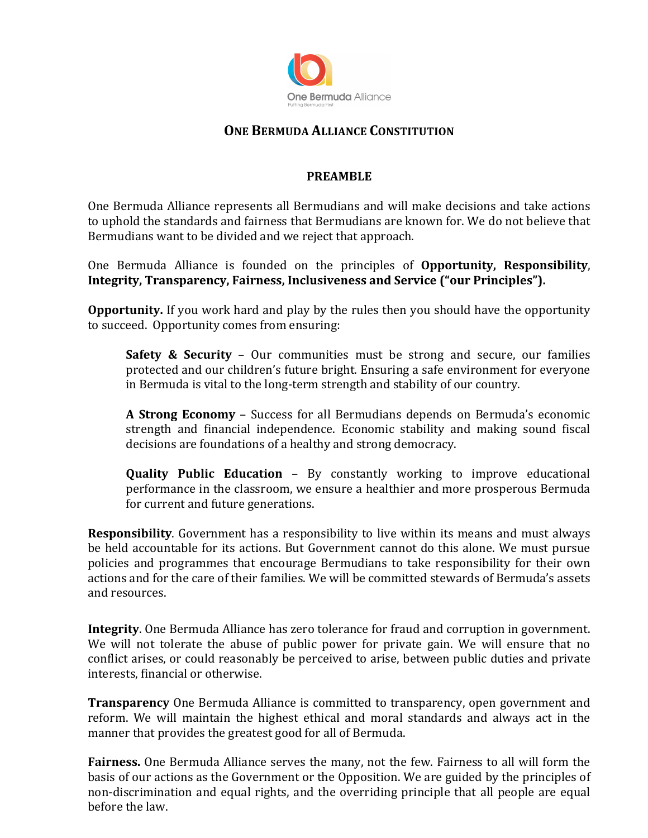

# **ONE BERMUDA ALLIANCE CONSTITUTION**

#### **PREAMBLE**

One Bermuda Alliance represents all Bermudians and will make decisions and take actions to uphold the standards and fairness that Bermudians are known for. We do not believe that Bermudians want to be divided and we reject that approach.

One Bermuda Alliance is founded on the principles of **Opportunity, Responsibility**, **Integrity, Transparency, Fairness, Inclusiveness and Service ("our Principles").** 

**Opportunity.** If you work hard and play by the rules then you should have the opportunity to succeed. Opportunity comes from ensuring:

**Safety & Security** – Our communities must be strong and secure, our families protected and our children's future bright. Ensuring a safe environment for everyone in Bermuda is vital to the long-term strength and stability of our country.

**A Strong Economy** – Success for all Bermudians depends on Bermuda's economic strength and financial independence. Economic stability and making sound fiscal decisions are foundations of a healthy and strong democracy.

**Quality Public Education** – By constantly working to improve educational performance in the classroom, we ensure a healthier and more prosperous Bermuda for current and future generations.

**Responsibility**. Government has a responsibility to live within its means and must always be held accountable for its actions. But Government cannot do this alone. We must pursue policies and programmes that encourage Bermudians to take responsibility for their own actions and for the care of their families. We will be committed stewards of Bermuda's assets and resources.

**Integrity**. One Bermuda Alliance has zero tolerance for fraud and corruption in government. We will not tolerate the abuse of public power for private gain. We will ensure that no conflict arises, or could reasonably be perceived to arise, between public duties and private interests, financial or otherwise.

**Transparency** One Bermuda Alliance is committed to transparency, open government and reform. We will maintain the highest ethical and moral standards and always act in the manner that provides the greatest good for all of Bermuda.

**Fairness.** One Bermuda Alliance serves the many, not the few. Fairness to all will form the basis of our actions as the Government or the Opposition. We are guided by the principles of non-discrimination and equal rights, and the overriding principle that all people are equal before the law.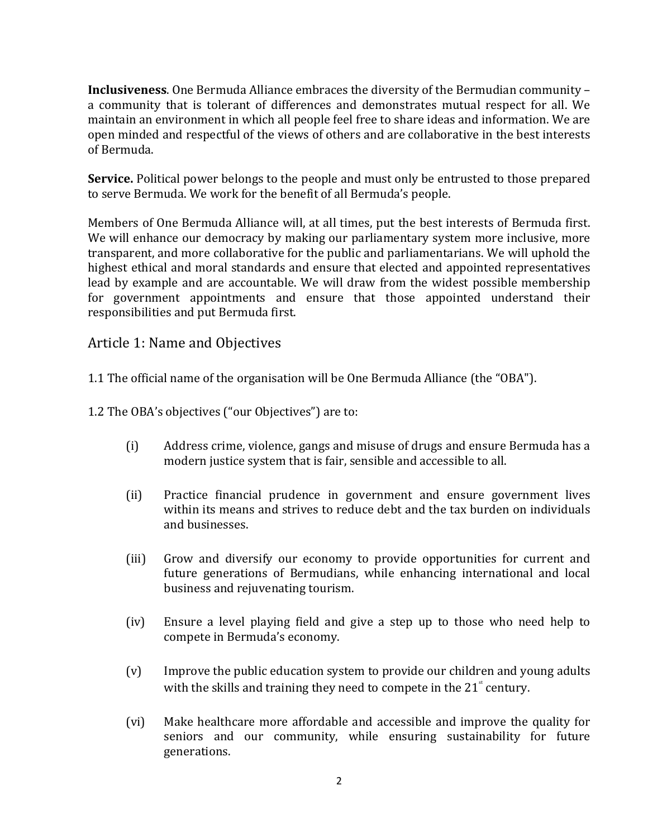**Inclusiveness**. One Bermuda Alliance embraces the diversity of the Bermudian community – a community that is tolerant of differences and demonstrates mutual respect for all. We maintain an environment in which all people feel free to share ideas and information. We are open minded and respectful of the views of others and are collaborative in the best interests of Bermuda.

**Service.** Political power belongs to the people and must only be entrusted to those prepared to serve Bermuda. We work for the benefit of all Bermuda's people.

Members of One Bermuda Alliance will, at all times, put the best interests of Bermuda first. We will enhance our democracy by making our parliamentary system more inclusive, more transparent, and more collaborative for the public and parliamentarians. We will uphold the highest ethical and moral standards and ensure that elected and appointed representatives lead by example and are accountable. We will draw from the widest possible membership for government appointments and ensure that those appointed understand their responsibilities and put Bermuda first.

# Article 1: Name and Objectives

1.1 The official name of the organisation will be One Bermuda Alliance (the "OBA").

1.2 The OBA's objectives ("our Objectives") are to:

- (i) Address crime, violence, gangs and misuse of drugs and ensure Bermuda has a modern justice system that is fair, sensible and accessible to all.
- (ii) Practice financial prudence in government and ensure government lives within its means and strives to reduce debt and the tax burden on individuals and businesses.
- (iii) Grow and diversify our economy to provide opportunities for current and future generations of Bermudians, while enhancing international and local business and rejuvenating tourism.
- (iv) Ensure a level playing field and give a step up to those who need help to compete in Bermuda's economy.
- $(v)$  Improve the public education system to provide our children and young adults with the skills and training they need to compete in the 21 $^{\circ}$  century.
- (vi) Make healthcare more affordable and accessible and improve the quality for seniors and our community, while ensuring sustainability for future generations.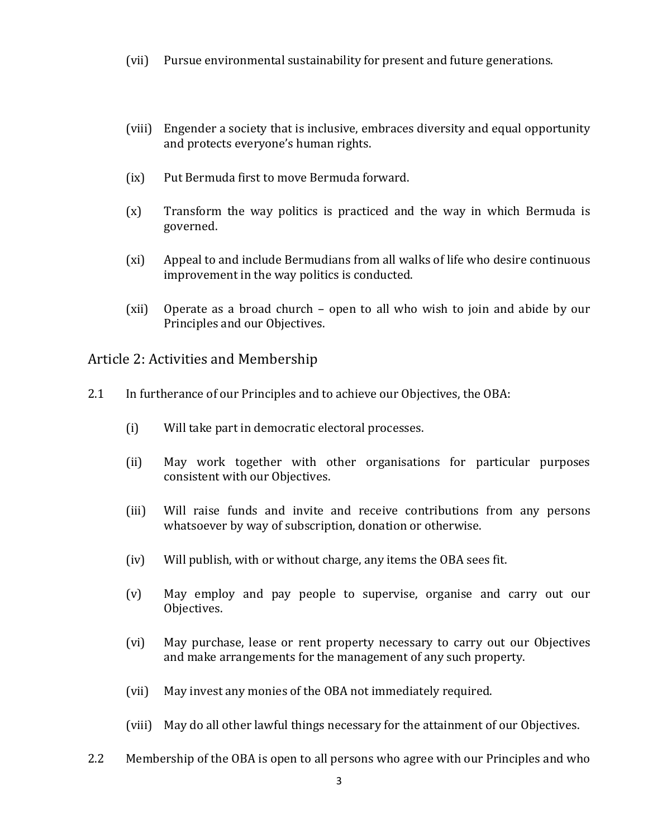- (vii) Pursue environmental sustainability for present and future generations.
- (viii) Engender a society that is inclusive, embraces diversity and equal opportunity and protects everyone's human rights.
- (ix) Put Bermuda first to move Bermuda forward.
- $(x)$  Transform the way politics is practiced and the way in which Bermuda is governed.
- (xi) Appeal to and include Bermudians from all walks of life who desire continuous improvement in the way politics is conducted.
- (xii) Operate as a broad church  $-$  open to all who wish to join and abide by our Principles and our Objectives.

Article 2: Activities and Membership

- 2.1 In furtherance of our Principles and to achieve our Objectives, the OBA:
	- (i) Will take part in democratic electoral processes.
	- (ii) May work together with other organisations for particular purposes consistent with our Objectives.
	- (iii) Will raise funds and invite and receive contributions from any persons whatsoever by way of subscription, donation or otherwise.
	- $(iv)$  Will publish, with or without charge, any items the OBA sees fit.
	- (v) May employ and pay people to supervise, organise and carry out our Objectives.
	- (vi) May purchase, lease or rent property necessary to carry out our Objectives and make arrangements for the management of any such property.
	- (vii) May invest any monies of the OBA not immediately required.
	- (viii) May do all other lawful things necessary for the attainment of our Objectives.
- 2.2 Membership of the OBA is open to all persons who agree with our Principles and who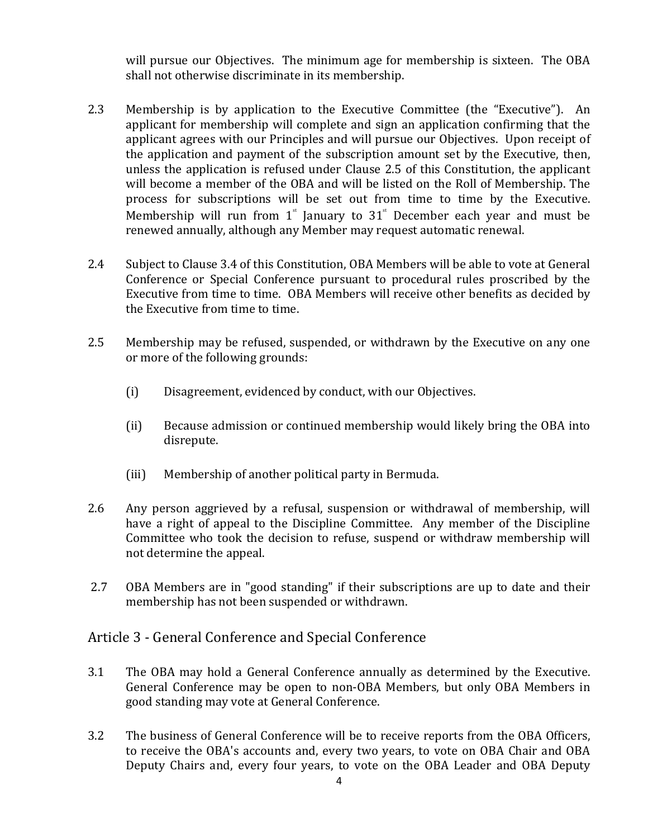will pursue our Objectives. The minimum age for membership is sixteen. The OBA shall not otherwise discriminate in its membership.

- 2.3 Membership is by application to the Executive Committee (the "Executive"). An applicant for membership will complete and sign an application confirming that the applicant agrees with our Principles and will pursue our Objectives. Upon receipt of the application and payment of the subscription amount set by the Executive, then, unless the application is refused under Clause 2.5 of this Constitution, the applicant will become a member of the OBA and will be listed on the Roll of Membership. The process for subscriptions will be set out from time to time by the Executive. Membership will run from  $1^*$  January to  $31^*$  December each year and must be renewed annually, although any Member may request automatic renewal.
- 2.4 Subject to Clause 3.4 of this Constitution, OBA Members will be able to vote at General Conference or Special Conference pursuant to procedural rules proscribed by the Executive from time to time. OBA Members will receive other benefits as decided by the Executive from time to time.
- 2.5 Membership may be refused, suspended, or withdrawn by the Executive on any one or more of the following grounds:
	- (i) Disagreement, evidenced by conduct, with our Objectives.
	- (ii) Because admission or continued membership would likely bring the OBA into disrepute.
	- (iii) Membership of another political party in Bermuda.
- 2.6 Any person aggrieved by a refusal, suspension or withdrawal of membership, will have a right of appeal to the Discipline Committee. Any member of the Discipline Committee who took the decision to refuse, suspend or withdraw membership will not determine the appeal.
- 2.7 OBA Members are in "good standing" if their subscriptions are up to date and their membership has not been suspended or withdrawn.

## Article 3 - General Conference and Special Conference

- 3.1 The OBA may hold a General Conference annually as determined by the Executive. General Conference may be open to non-OBA Members, but only OBA Members in good standing may vote at General Conference.
- 3.2 The business of General Conference will be to receive reports from the OBA Officers, to receive the OBA's accounts and, every two years, to vote on OBA Chair and OBA Deputy Chairs and, every four years, to vote on the OBA Leader and OBA Deputy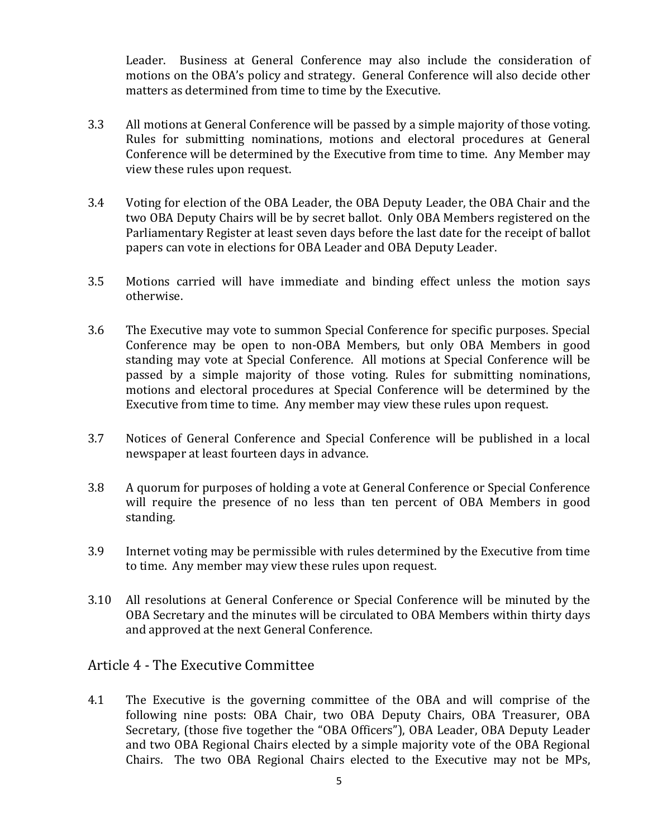Leader. Business at General Conference may also include the consideration of motions on the OBA's policy and strategy. General Conference will also decide other matters as determined from time to time by the Executive.

- 3.3 All motions at General Conference will be passed by a simple majority of those voting. Rules for submitting nominations, motions and electoral procedures at General Conference will be determined by the Executive from time to time. Any Member may view these rules upon request.
- 3.4 Voting for election of the OBA Leader, the OBA Deputy Leader, the OBA Chair and the two OBA Deputy Chairs will be by secret ballot. Only OBA Members registered on the Parliamentary Register at least seven days before the last date for the receipt of ballot papers can vote in elections for OBA Leader and OBA Deputy Leader.
- 3.5 Motions carried will have immediate and binding effect unless the motion says otherwise.
- 3.6 The Executive may vote to summon Special Conference for specific purposes. Special Conference may be open to non-OBA Members, but only OBA Members in good standing may vote at Special Conference. All motions at Special Conference will be passed by a simple majority of those voting. Rules for submitting nominations, motions and electoral procedures at Special Conference will be determined by the Executive from time to time. Any member may view these rules upon request.
- 3.7 Notices of General Conference and Special Conference will be published in a local newspaper at least fourteen days in advance.
- 3.8 A quorum for purposes of holding a vote at General Conference or Special Conference will require the presence of no less than ten percent of OBA Members in good standing.
- 3.9 Internet voting may be permissible with rules determined by the Executive from time to time. Any member may view these rules upon request.
- 3.10 All resolutions at General Conference or Special Conference will be minuted by the OBA Secretary and the minutes will be circulated to OBA Members within thirty days and approved at the next General Conference.

## Article 4 - The Executive Committee

4.1 The Executive is the governing committee of the OBA and will comprise of the following nine posts: OBA Chair, two OBA Deputy Chairs, OBA Treasurer, OBA Secretary, (those five together the "OBA Officers"), OBA Leader, OBA Deputy Leader and two OBA Regional Chairs elected by a simple majority vote of the OBA Regional Chairs. The two OBA Regional Chairs elected to the Executive may not be MPs,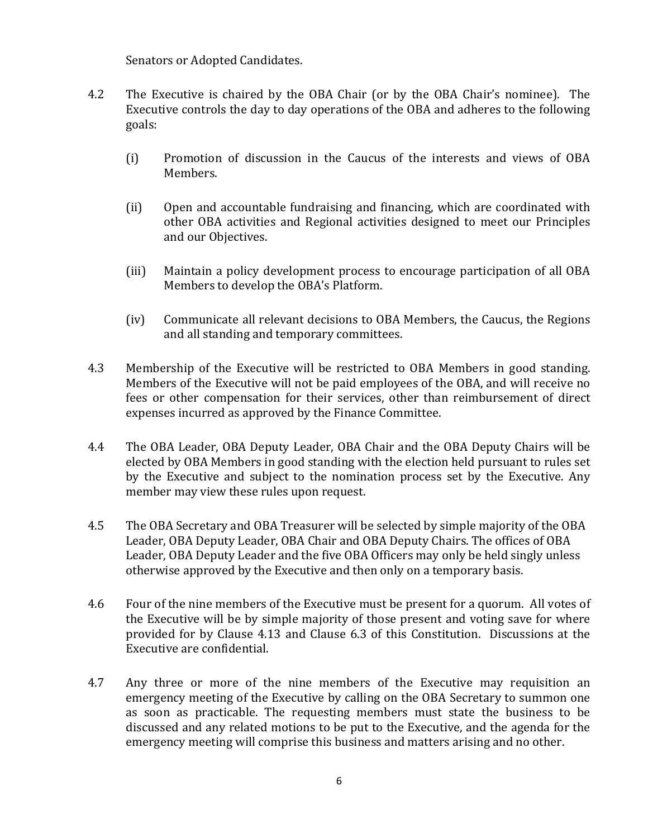Senators or Adopted Candidates.

- 4.2 The Executive is chaired by the OBA Chair (or by the OBA Chair's nominee). The Executive controls the day to day operations of the OBA and adheres to the following goals:
	- (i) Promotion of discussion in the Caucus of the interests and views of OBA Members.
	- (ii) Open and accountable fundraising and financing, which are coordinated with other OBA activities and Regional activities designed to meet our Principles and our Objectives.
	- (iii) Maintain a policy development process to encourage participation of all OBA Members to develop the OBA's Platform.
	- (iv) Communicate all relevant decisions to OBA Members, the Caucus, the Regions and all standing and temporary committees.
- 4.3 Membership of the Executive will be restricted to OBA Members in good standing. Members of the Executive will not be paid employees of the OBA, and will receive no fees or other compensation for their services, other than reimbursement of direct expenses incurred as approved by the Finance Committee.
- 4.4 The OBA Leader, OBA Deputy Leader, OBA Chair and the OBA Deputy Chairs will be elected by OBA Members in good standing with the election held pursuant to rules set by the Executive and subject to the nomination process set by the Executive. Any member may view these rules upon request.
- 4.5 The OBA Secretary and OBA Treasurer will be selected by simple majority of the OBA Leader, OBA Deputy Leader, OBA Chair and OBA Deputy Chairs. The offices of OBA Leader, OBA Deputy Leader and the five OBA Officers may only be held singly unless otherwise approved by the Executive and then only on a temporary basis.
- 4.6 Four of the nine members of the Executive must be present for a quorum. All votes of the Executive will be by simple majority of those present and voting save for where provided for by Clause 4.13 and Clause 6.3 of this Constitution. Discussions at the Executive are confidential.
- 4.7 Any three or more of the nine members of the Executive may requisition an emergency meeting of the Executive by calling on the OBA Secretary to summon one as soon as practicable. The requesting members must state the business to be discussed and any related motions to be put to the Executive, and the agenda for the emergency meeting will comprise this business and matters arising and no other.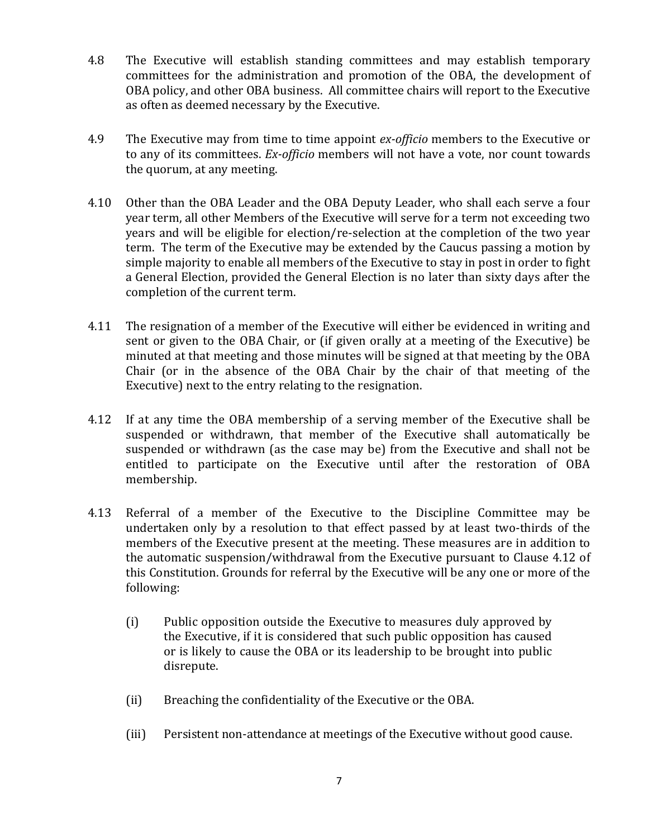- 4.8 The Executive will establish standing committees and may establish temporary committees for the administration and promotion of the OBA, the development of OBA policy, and other OBA business. All committee chairs will report to the Executive as often as deemed necessary by the Executive.
- 4.9 The Executive may from time to time appoint *ex-officio* members to the Executive or to any of its committees. *Ex-officio* members will not have a vote, nor count towards the quorum, at any meeting.
- 4.10 Other than the OBA Leader and the OBA Deputy Leader, who shall each serve a four year term, all other Members of the Executive will serve for a term not exceeding two years and will be eligible for election/re-selection at the completion of the two year term. The term of the Executive may be extended by the Caucus passing a motion by simple majority to enable all members of the Executive to stay in post in order to fight a General Election, provided the General Election is no later than sixty days after the completion of the current term.
- 4.11 The resignation of a member of the Executive will either be evidenced in writing and sent or given to the OBA Chair, or (if given orally at a meeting of the Executive) be minuted at that meeting and those minutes will be signed at that meeting by the OBA Chair (or in the absence of the OBA Chair by the chair of that meeting of the Executive) next to the entry relating to the resignation.
- 4.12 If at any time the OBA membership of a serving member of the Executive shall be suspended or withdrawn, that member of the Executive shall automatically be suspended or withdrawn (as the case may be) from the Executive and shall not be entitled to participate on the Executive until after the restoration of OBA membership.
- 4.13 Referral of a member of the Executive to the Discipline Committee may be undertaken only by a resolution to that effect passed by at least two-thirds of the members of the Executive present at the meeting. These measures are in addition to the automatic suspension/withdrawal from the Executive pursuant to Clause 4.12 of this Constitution. Grounds for referral by the Executive will be any one or more of the following:
	- (i) Public opposition outside the Executive to measures duly approved by the Executive, if it is considered that such public opposition has caused or is likely to cause the OBA or its leadership to be brought into public disrepute.
	- (ii) Breaching the confidentiality of the Executive or the OBA.
	- (iii) Persistent non-attendance at meetings of the Executive without good cause.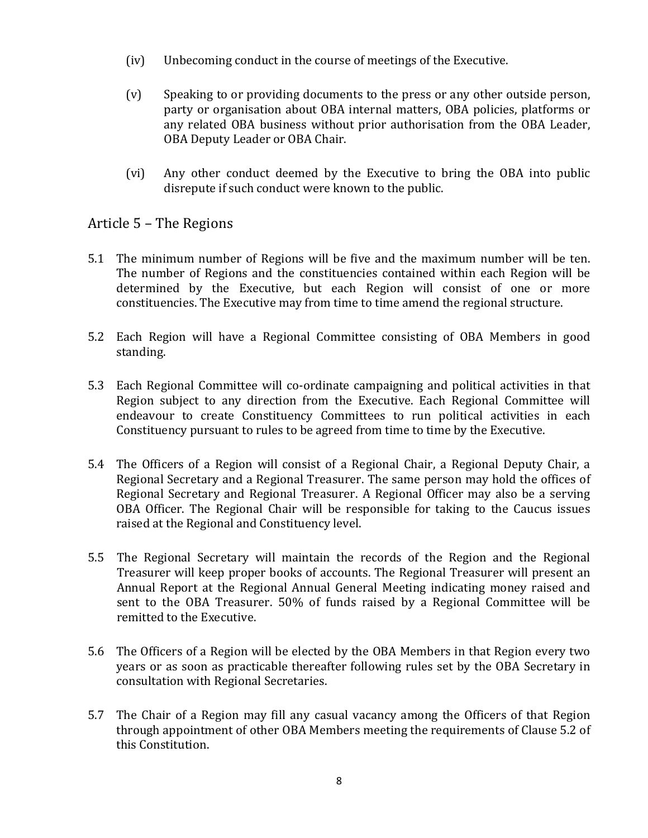- $(iv)$  Unbecoming conduct in the course of meetings of the Executive.
- (v) Speaking to or providing documents to the press or any other outside person, party or organisation about OBA internal matters, OBA policies, platforms or any related OBA business without prior authorisation from the OBA Leader, OBA Deputy Leader or OBA Chair.
- (vi) Any other conduct deemed by the Executive to bring the OBA into public disrepute if such conduct were known to the public.

# Article  $5$  – The Regions

- 5.1 The minimum number of Regions will be five and the maximum number will be ten. The number of Regions and the constituencies contained within each Region will be determined by the Executive, but each Region will consist of one or more constituencies. The Executive may from time to time amend the regional structure.
- 5.2 Each Region will have a Regional Committee consisting of OBA Members in good standing.
- 5.3 Each Regional Committee will co-ordinate campaigning and political activities in that Region subject to any direction from the Executive. Each Regional Committee will endeavour to create Constituency Committees to run political activities in each Constituency pursuant to rules to be agreed from time to time by the Executive.
- 5.4 The Officers of a Region will consist of a Regional Chair, a Regional Deputy Chair, a Regional Secretary and a Regional Treasurer. The same person may hold the offices of Regional Secretary and Regional Treasurer. A Regional Officer may also be a serving OBA Officer. The Regional Chair will be responsible for taking to the Caucus issues raised at the Regional and Constituency level.
- 5.5 The Regional Secretary will maintain the records of the Region and the Regional Treasurer will keep proper books of accounts. The Regional Treasurer will present an Annual Report at the Regional Annual General Meeting indicating money raised and sent to the OBA Treasurer. 50% of funds raised by a Regional Committee will be remitted to the Executive.
- 5.6 The Officers of a Region will be elected by the OBA Members in that Region every two years or as soon as practicable thereafter following rules set by the OBA Secretary in consultation with Regional Secretaries.
- 5.7 The Chair of a Region may fill any casual vacancy among the Officers of that Region through appointment of other OBA Members meeting the requirements of Clause 5.2 of this Constitution.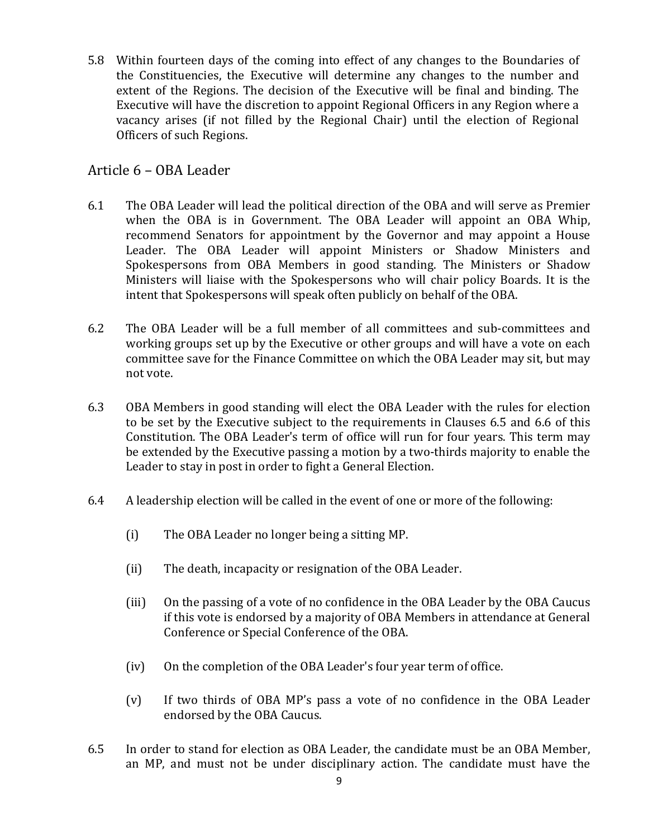5.8 Within fourteen days of the coming into effect of any changes to the Boundaries of the Constituencies, the Executive will determine any changes to the number and extent of the Regions. The decision of the Executive will be final and binding. The Executive will have the discretion to appoint Regional Officers in any Region where a vacancy arises (if not filled by the Regional Chair) until the election of Regional Officers of such Regions.

# Article 6 – OBA Leader

- 6.1 The OBA Leader will lead the political direction of the OBA and will serve as Premier when the OBA is in Government. The OBA Leader will appoint an OBA Whip, recommend Senators for appointment by the Governor and may appoint a House Leader. The OBA Leader will appoint Ministers or Shadow Ministers and Spokespersons from OBA Members in good standing. The Ministers or Shadow Ministers will liaise with the Spokespersons who will chair policy Boards. It is the intent that Spokespersons will speak often publicly on behalf of the OBA.
- 6.2 The OBA Leader will be a full member of all committees and sub-committees and working groups set up by the Executive or other groups and will have a vote on each committee save for the Finance Committee on which the OBA Leader may sit, but may not vote.
- 6.3 OBA Members in good standing will elect the OBA Leader with the rules for election to be set by the Executive subject to the requirements in Clauses 6.5 and 6.6 of this Constitution. The OBA Leader's term of office will run for four years. This term may be extended by the Executive passing a motion by a two-thirds majority to enable the Leader to stay in post in order to fight a General Election.
- $6.4$  A leadership election will be called in the event of one or more of the following:
	- (i) The OBA Leader no longer being a sitting MP.
	- (ii) The death, incapacity or resignation of the OBA Leader.
	- (iii) On the passing of a vote of no confidence in the OBA Leader by the OBA Caucus if this vote is endorsed by a majority of OBA Members in attendance at General Conference or Special Conference of the OBA.
	- (iv) On the completion of the OBA Leader's four year term of office.
	- $(v)$  If two thirds of OBA MP's pass a vote of no confidence in the OBA Leader endorsed by the OBA Caucus.
- 6.5 In order to stand for election as OBA Leader, the candidate must be an OBA Member, an MP, and must not be under disciplinary action. The candidate must have the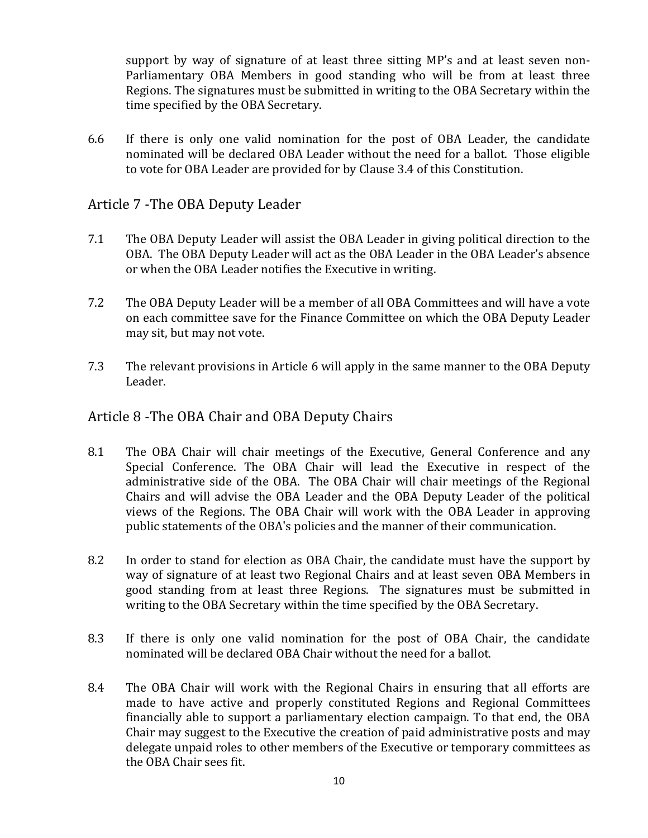support by way of signature of at least three sitting MP's and at least seven non-Parliamentary OBA Members in good standing who will be from at least three Regions. The signatures must be submitted in writing to the OBA Secretary within the time specified by the OBA Secretary.

6.6 If there is only one valid nomination for the post of OBA Leader, the candidate nominated will be declared OBA Leader without the need for a ballot. Those eligible to vote for OBA Leader are provided for by Clause 3.4 of this Constitution.

## Article 7 - The OBA Deputy Leader

- 7.1 The OBA Deputy Leader will assist the OBA Leader in giving political direction to the OBA. The OBA Deputy Leader will act as the OBA Leader in the OBA Leader's absence or when the OBA Leader notifies the Executive in writing.
- 7.2 The OBA Deputy Leader will be a member of all OBA Committees and will have a vote on each committee save for the Finance Committee on which the OBA Deputy Leader may sit, but may not vote.
- 7.3 The relevant provisions in Article 6 will apply in the same manner to the OBA Deputy Leader.

### Article 8 -The OBA Chair and OBA Deputy Chairs

- 8.1 The OBA Chair will chair meetings of the Executive, General Conference and any Special Conference. The OBA Chair will lead the Executive in respect of the administrative side of the OBA. The OBA Chair will chair meetings of the Regional Chairs and will advise the OBA Leader and the OBA Deputy Leader of the political views of the Regions. The OBA Chair will work with the OBA Leader in approving public statements of the OBA's policies and the manner of their communication.
- 8.2 In order to stand for election as OBA Chair, the candidate must have the support by way of signature of at least two Regional Chairs and at least seven OBA Members in good standing from at least three Regions. The signatures must be submitted in writing to the OBA Secretary within the time specified by the OBA Secretary.
- 8.3 If there is only one valid nomination for the post of OBA Chair, the candidate nominated will be declared OBA Chair without the need for a ballot.
- 8.4 The OBA Chair will work with the Regional Chairs in ensuring that all efforts are made to have active and properly constituted Regions and Regional Committees financially able to support a parliamentary election campaign. To that end, the OBA Chair may suggest to the Executive the creation of paid administrative posts and may delegate unpaid roles to other members of the Executive or temporary committees as the OBA Chair sees fit.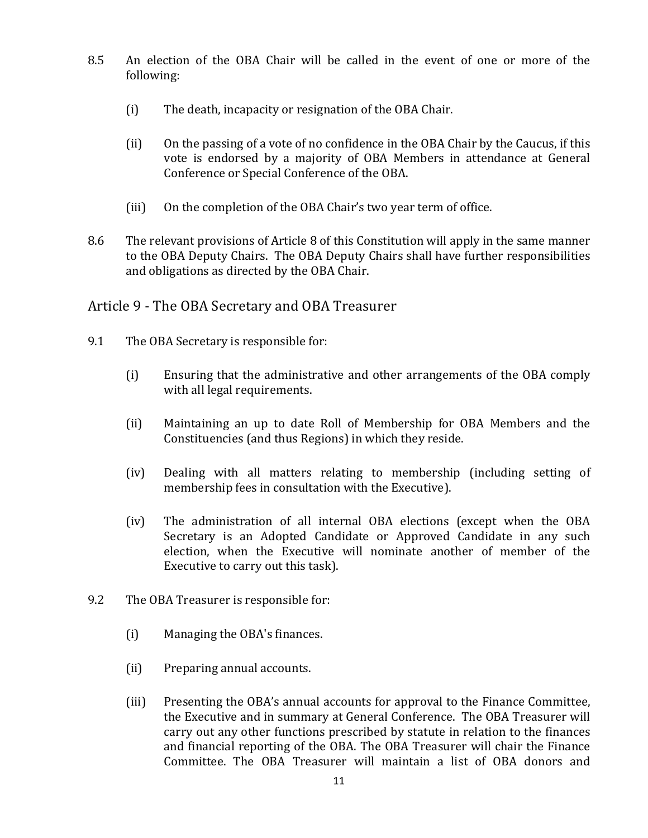- 8.5 An election of the OBA Chair will be called in the event of one or more of the following:
	- (i) The death, incapacity or resignation of the OBA Chair.
	- (ii) On the passing of a vote of no confidence in the OBA Chair by the Caucus, if this vote is endorsed by a majority of OBA Members in attendance at General Conference or Special Conference of the OBA.
	- (iii) On the completion of the OBA Chair's two year term of office.
- 8.6 The relevant provisions of Article 8 of this Constitution will apply in the same manner to the OBA Deputy Chairs. The OBA Deputy Chairs shall have further responsibilities and obligations as directed by the OBA Chair.

# Article 9 - The OBA Secretary and OBA Treasurer

- 9.1 The OBA Secretary is responsible for:
	- (i) Ensuring that the administrative and other arrangements of the OBA comply with all legal requirements.
	- (ii) Maintaining an up to date Roll of Membership for OBA Members and the Constituencies (and thus Regions) in which they reside.
	- (iv) Dealing with all matters relating to membership (including setting of membership fees in consultation with the Executive).
	- (iv) The administration of all internal OBA elections (except when the OBA Secretary is an Adopted Candidate or Approved Candidate in any such election, when the Executive will nominate another of member of the Executive to carry out this task).
- 9.2 The OBA Treasurer is responsible for:
	- (i) Managing the OBA's finances.
	- (ii) Preparing annual accounts.
	- (iii) Presenting the OBA's annual accounts for approval to the Finance Committee, the Executive and in summary at General Conference. The OBA Treasurer will carry out any other functions prescribed by statute in relation to the finances and financial reporting of the OBA. The OBA Treasurer will chair the Finance Committee. The OBA Treasurer will maintain a list of OBA donors and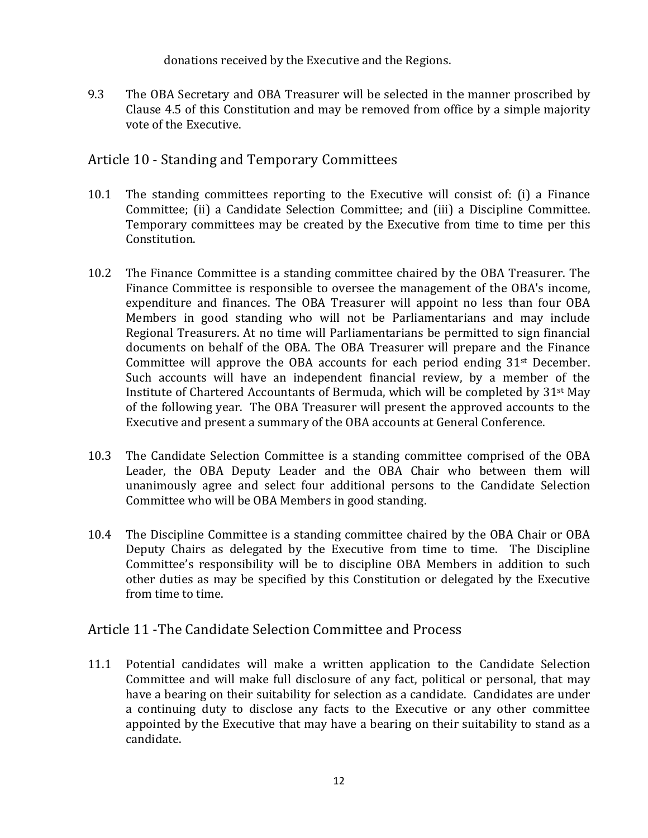donations received by the Executive and the Regions.

9.3 The OBA Secretary and OBA Treasurer will be selected in the manner proscribed by Clause 4.5 of this Constitution and may be removed from office by a simple majority vote of the Executive.

# Article 10 - Standing and Temporary Committees

- 10.1 The standing committees reporting to the Executive will consist of: (i) a Finance Committee; (ii) a Candidate Selection Committee; and (iii) a Discipline Committee. Temporary committees may be created by the Executive from time to time per this Constitution.
- 10.2 The Finance Committee is a standing committee chaired by the OBA Treasurer. The Finance Committee is responsible to oversee the management of the OBA's income, expenditure and finances. The OBA Treasurer will appoint no less than four OBA Members in good standing who will not be Parliamentarians and may include Regional Treasurers. At no time will Parliamentarians be permitted to sign financial documents on behalf of the OBA. The OBA Treasurer will prepare and the Finance Committee will approve the OBA accounts for each period ending  $31<sup>st</sup>$  December. Such accounts will have an independent financial review, by a member of the Institute of Chartered Accountants of Bermuda, which will be completed by  $31^{st}$  May of the following year. The OBA Treasurer will present the approved accounts to the Executive and present a summary of the OBA accounts at General Conference.
- 10.3 The Candidate Selection Committee is a standing committee comprised of the OBA Leader, the OBA Deputy Leader and the OBA Chair who between them will unanimously agree and select four additional persons to the Candidate Selection Committee who will be OBA Members in good standing.
- 10.4 The Discipline Committee is a standing committee chaired by the OBA Chair or OBA Deputy Chairs as delegated by the Executive from time to time. The Discipline Committee's responsibility will be to discipline OBA Members in addition to such other duties as may be specified by this Constitution or delegated by the Executive from time to time.

## Article 11 - The Candidate Selection Committee and Process

11.1 Potential candidates will make a written application to the Candidate Selection Committee and will make full disclosure of any fact, political or personal, that may have a bearing on their suitability for selection as a candidate. Candidates are under a continuing duty to disclose any facts to the Executive or any other committee appointed by the Executive that may have a bearing on their suitability to stand as a candidate.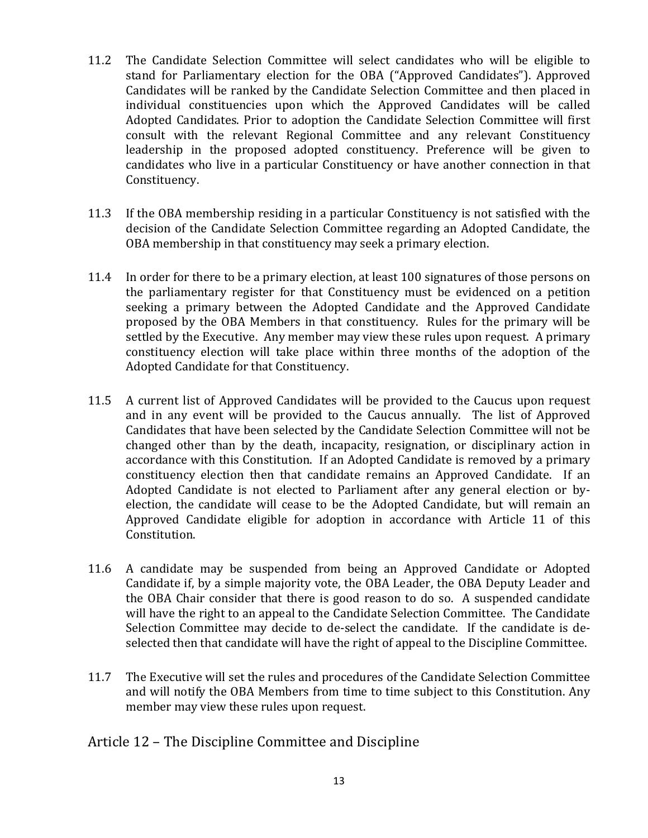- 11.2 The Candidate Selection Committee will select candidates who will be eligible to stand for Parliamentary election for the OBA ("Approved Candidates"). Approved Candidates will be ranked by the Candidate Selection Committee and then placed in individual constituencies upon which the Approved Candidates will be called Adopted Candidates. Prior to adoption the Candidate Selection Committee will first consult with the relevant Regional Committee and any relevant Constituency leadership in the proposed adopted constituency. Preference will be given to candidates who live in a particular Constituency or have another connection in that Constituency.
- 11.3 If the OBA membership residing in a particular Constituency is not satisfied with the decision of the Candidate Selection Committee regarding an Adopted Candidate, the OBA membership in that constituency may seek a primary election.
- 11.4 In order for there to be a primary election, at least 100 signatures of those persons on the parliamentary register for that Constituency must be evidenced on a petition seeking a primary between the Adopted Candidate and the Approved Candidate proposed by the OBA Members in that constituency. Rules for the primary will be settled by the Executive. Any member may view these rules upon request. A primary constituency election will take place within three months of the adoption of the Adopted Candidate for that Constituency.
- 11.5 A current list of Approved Candidates will be provided to the Caucus upon request and in any event will be provided to the Caucus annually. The list of Approved Candidates that have been selected by the Candidate Selection Committee will not be changed other than by the death, incapacity, resignation, or disciplinary action in accordance with this Constitution. If an Adopted Candidate is removed by a primary constituency election then that candidate remains an Approved Candidate. If an Adopted Candidate is not elected to Parliament after any general election or byelection, the candidate will cease to be the Adopted Candidate, but will remain an Approved Candidate eligible for adoption in accordance with Article 11 of this Constitution.
- 11.6 A candidate may be suspended from being an Approved Candidate or Adopted Candidate if, by a simple majority vote, the OBA Leader, the OBA Deputy Leader and the OBA Chair consider that there is good reason to do so. A suspended candidate will have the right to an appeal to the Candidate Selection Committee. The Candidate Selection Committee may decide to de-select the candidate. If the candidate is deselected then that candidate will have the right of appeal to the Discipline Committee.
- 11.7 The Executive will set the rules and procedures of the Candidate Selection Committee and will notify the OBA Members from time to time subject to this Constitution. Any member may view these rules upon request.

Article 12 – The Discipline Committee and Discipline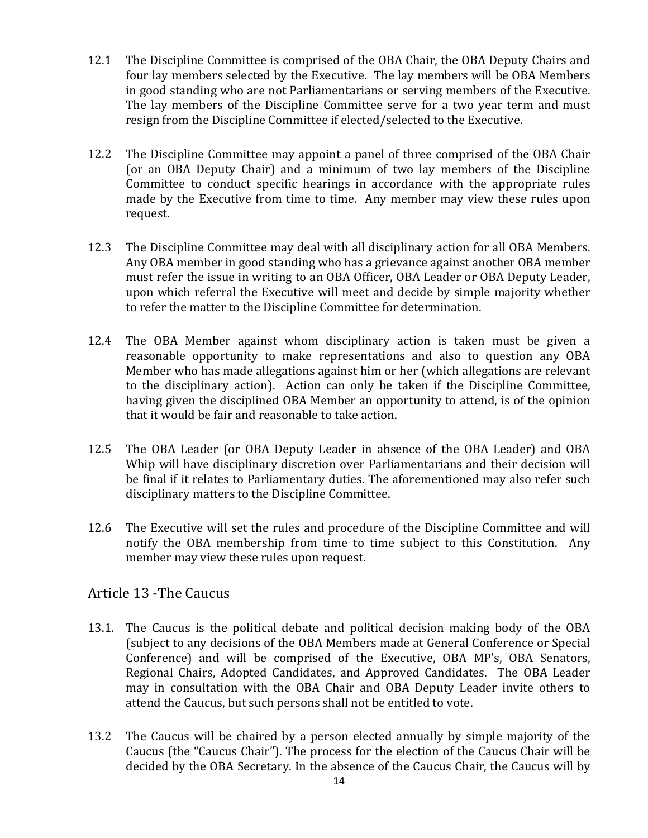- 12.1 The Discipline Committee is comprised of the OBA Chair, the OBA Deputy Chairs and four lay members selected by the Executive. The lay members will be OBA Members in good standing who are not Parliamentarians or serving members of the Executive. The lay members of the Discipline Committee serve for a two year term and must resign from the Discipline Committee if elected/selected to the Executive.
- 12.2 The Discipline Committee may appoint a panel of three comprised of the OBA Chair (or an OBA Deputy Chair) and a minimum of two lay members of the Discipline Committee to conduct specific hearings in accordance with the appropriate rules made by the Executive from time to time. Any member may view these rules upon request.
- 12.3 The Discipline Committee may deal with all disciplinary action for all OBA Members. Any OBA member in good standing who has a grievance against another OBA member must refer the issue in writing to an OBA Officer, OBA Leader or OBA Deputy Leader, upon which referral the Executive will meet and decide by simple majority whether to refer the matter to the Discipline Committee for determination.
- 12.4 The OBA Member against whom disciplinary action is taken must be given a reasonable opportunity to make representations and also to question any OBA Member who has made allegations against him or her (which allegations are relevant to the disciplinary action). Action can only be taken if the Discipline Committee, having given the disciplined OBA Member an opportunity to attend, is of the opinion that it would be fair and reasonable to take action.
- 12.5 The OBA Leader (or OBA Deputy Leader in absence of the OBA Leader) and OBA Whip will have disciplinary discretion over Parliamentarians and their decision will be final if it relates to Parliamentary duties. The aforementioned may also refer such disciplinary matters to the Discipline Committee.
- 12.6 The Executive will set the rules and procedure of the Discipline Committee and will notify the OBA membership from time to time subject to this Constitution. Any member may view these rules upon request.

# Article 13 - The Caucus

- 13.1. The Caucus is the political debate and political decision making body of the OBA (subject to any decisions of the OBA Members made at General Conference or Special Conference) and will be comprised of the Executive, OBA MP's, OBA Senators, Regional Chairs, Adopted Candidates, and Approved Candidates. The OBA Leader may in consultation with the OBA Chair and OBA Deputy Leader invite others to attend the Caucus, but such persons shall not be entitled to vote.
- 13.2 The Caucus will be chaired by a person elected annually by simple majority of the Caucus (the "Caucus Chair"). The process for the election of the Caucus Chair will be decided by the OBA Secretary. In the absence of the Caucus Chair, the Caucus will by